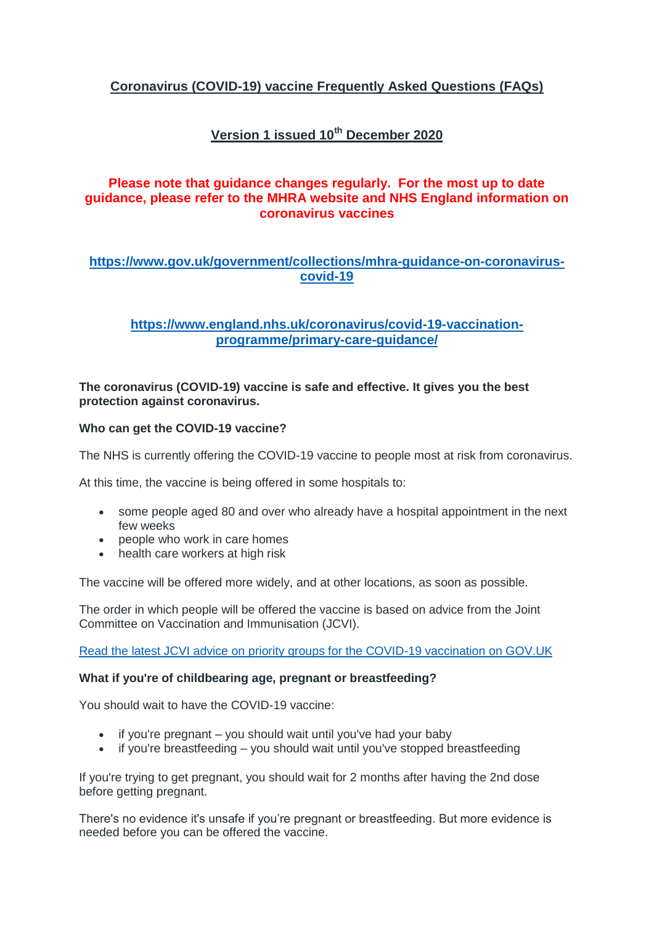# **Coronavirus (COVID-19) vaccine Frequently Asked Questions (FAQs)**

# **Version 1 issued 10th December 2020**

## **Please note that guidance changes regularly. For the most up to date guidance, please refer to the MHRA website and NHS England information on coronavirus vaccines**

## **[https://www.gov.uk/government/collections/mhra-guidance-on-coronavirus](https://www.gov.uk/government/collections/mhra-guidance-on-coronavirus-covid-19)[covid-19](https://www.gov.uk/government/collections/mhra-guidance-on-coronavirus-covid-19)**

## **[https://www.england.nhs.uk/coronavirus/covid-19-vaccination](https://www.england.nhs.uk/coronavirus/covid-19-vaccination-programme/primary-care-guidance/)[programme/primary-care-guidance/](https://www.england.nhs.uk/coronavirus/covid-19-vaccination-programme/primary-care-guidance/)**

## **The coronavirus (COVID-19) vaccine is safe and effective. It gives you the best protection against coronavirus.**

## **Who can get the COVID-19 vaccine?**

The NHS is currently offering the COVID-19 vaccine to people most at risk from coronavirus.

At this time, the vaccine is being offered in some hospitals to:

- some people aged 80 and over who already have a hospital appointment in the next few weeks
- people who work in care homes
- health care workers at high risk

The vaccine will be offered more widely, and at other locations, as soon as possible.

The order in which people will be offered the vaccine is based on advice from the Joint Committee on Vaccination and Immunisation (JCVI).

[Read the latest JCVI advice on priority groups for the COVID-19 vaccination on GOV.UK](https://www.gov.uk/government/publications/priority-groups-for-coronavirus-covid-19-vaccination-advice-from-the-jcvi-2-december-2020/priority-groups-for-coronavirus-covid-19-vaccination-advice-from-the-jcvi-2-december-2020)

## **What if you're of childbearing age, pregnant or breastfeeding?**

You should wait to have the COVID-19 vaccine:

- $\bullet$  if you're pregnant you should wait until you've had your baby
- if you're breastfeeding you should wait until you've stopped breastfeeding

If you're trying to get pregnant, you should wait for 2 months after having the 2nd dose before getting pregnant.

There's no evidence it's unsafe if you're pregnant or breastfeeding. But more evidence is needed before you can be offered the vaccine.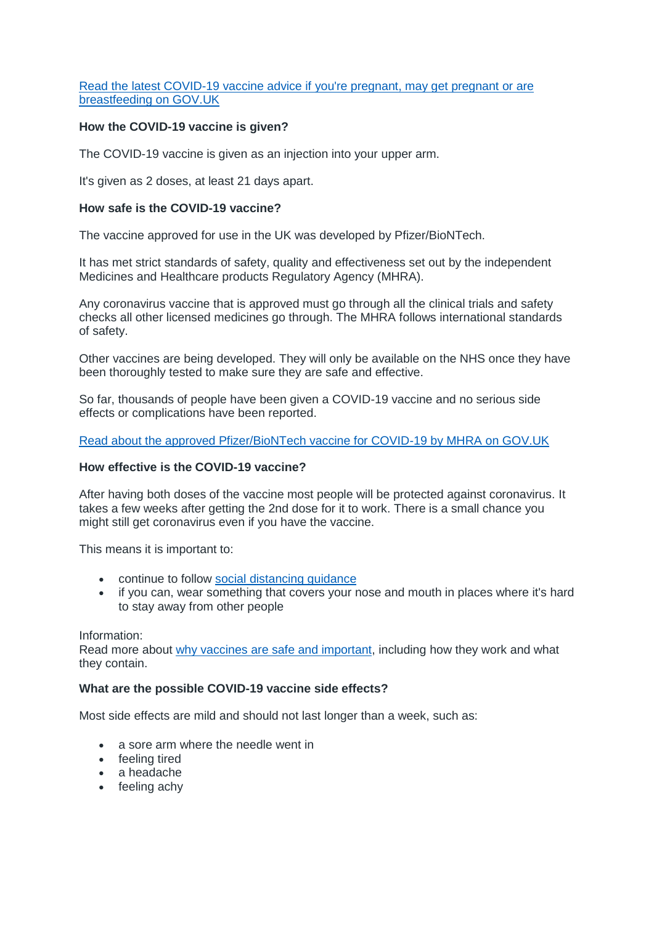#### [Read the latest COVID-19 vaccine advice if you're pregnant, may get pregnant or are](https://www.gov.uk/government/publications/covid-19-vaccination-women-of-childbearing-age-currently-pregnant-planning-a-pregnancy-or-breastfeeding)  [breastfeeding on GOV.UK](https://www.gov.uk/government/publications/covid-19-vaccination-women-of-childbearing-age-currently-pregnant-planning-a-pregnancy-or-breastfeeding)

### **How the COVID-19 vaccine is given?**

The COVID-19 vaccine is given as an injection into your upper arm.

It's given as 2 doses, at least 21 days apart.

#### **How safe is the COVID-19 vaccine?**

The vaccine approved for use in the UK was developed by Pfizer/BioNTech.

It has met strict standards of safety, quality and effectiveness set out by the independent Medicines and Healthcare products Regulatory Agency (MHRA).

Any coronavirus vaccine that is approved must go through all the clinical trials and safety checks all other licensed medicines go through. The MHRA follows international standards of safety.

Other vaccines are being developed. They will only be available on the NHS once they have been thoroughly tested to make sure they are safe and effective.

So far, thousands of people have been given a COVID-19 vaccine and no serious side effects or complications have been reported.

[Read about the approved Pfizer/BioNTech vaccine for COVID-19 by MHRA](https://www.gov.uk/government/publications/regulatory-approval-of-pfizer-biontech-vaccine-for-covid-19) on GOV.UK

## **How effective is the COVID-19 vaccine?**

After having both doses of the vaccine most people will be protected against coronavirus. It takes a few weeks after getting the 2nd dose for it to work. There is a small chance you might still get coronavirus even if you have the vaccine.

This means it is important to:

- continue to follow [social distancing guidance](https://www.nhs.uk/conditions/coronavirus-covid-19/social-distancing/what-you-need-to-do/)
- if you can, wear something that covers your nose and mouth in places where it's hard to stay away from other people

Information:

Read more about [why vaccines are safe and important,](https://www.nhs.uk/conditions/vaccinations/why-vaccination-is-safe-and-important/) including how they work and what they contain.

#### **What are the possible COVID-19 vaccine side effects?**

Most side effects are mild and should not last longer than a week, such as:

- a sore arm where the needle went in
- feeling tired
- a headache
- feeling achy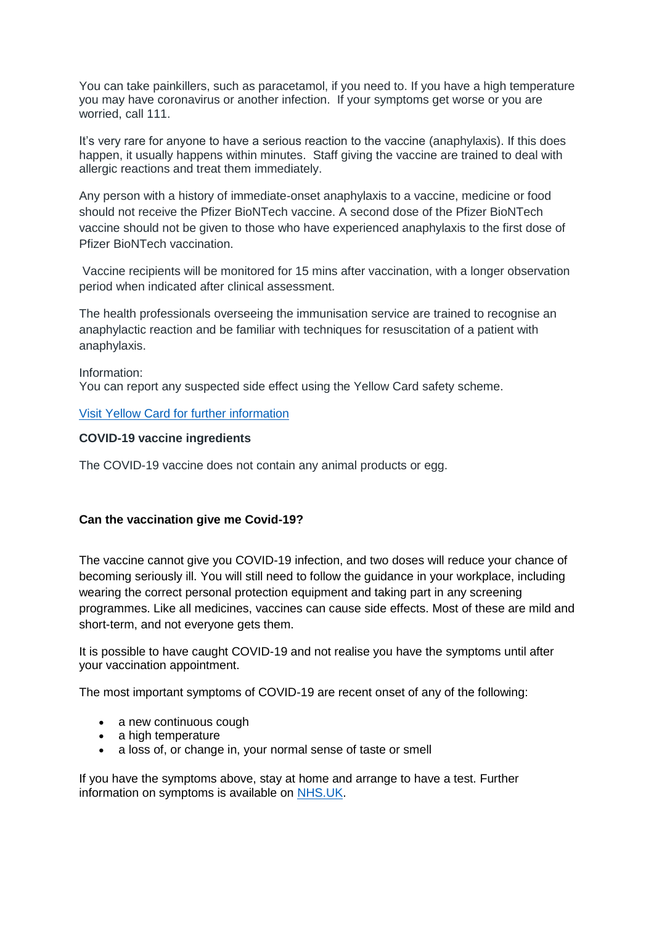You can take painkillers, such as paracetamol, if you need to. If you have a high temperature you may have coronavirus or another infection. If your symptoms get worse or you are worried, call 111.

It's very rare for anyone to have a serious reaction to the vaccine (anaphylaxis). If this does happen, it usually happens within minutes. Staff giving the vaccine are trained to deal with allergic reactions and treat them immediately.

Any person with a history of immediate-onset anaphylaxis to a vaccine, medicine or food should not receive the Pfizer BioNTech vaccine. A second dose of the Pfizer BioNTech vaccine should not be given to those who have experienced anaphylaxis to the first dose of Pfizer BioNTech vaccination.

Vaccine recipients will be monitored for 15 mins after vaccination, with a longer observation period when indicated after clinical assessment.

The health professionals overseeing the immunisation service are trained to recognise an anaphylactic reaction and be familiar with techniques for resuscitation of a patient with anaphylaxis.

Information: You can report any suspected side effect using the Yellow Card safety scheme.

#### [Visit Yellow Card for further information](https://coronavirus-yellowcard.mhra.gov.uk/)

#### **COVID-19 vaccine ingredients**

The COVID-19 vaccine does not contain any animal products or egg.

## **Can the vaccination give me Covid-19?**

The vaccine cannot give you COVID-19 infection, and two doses will reduce your chance of becoming seriously ill. You will still need to follow the guidance in your workplace, including wearing the correct personal protection equipment and taking part in any screening programmes. Like all medicines, vaccines can cause side effects. Most of these are mild and short-term, and not everyone gets them.

It is possible to have caught COVID-19 and not realise you have the symptoms until after your vaccination appointment.

The most important symptoms of COVID-19 are recent onset of any of the following:

- a new continuous cough
- a high temperature
- a loss of, or change in, your normal sense of taste or smell

If you have the symptoms above, stay at home and arrange to have a test. Further information on symptoms is available on [NHS.UK.](https://www.nhs.uk/conditions/coronavirus-covid-19/symptoms/)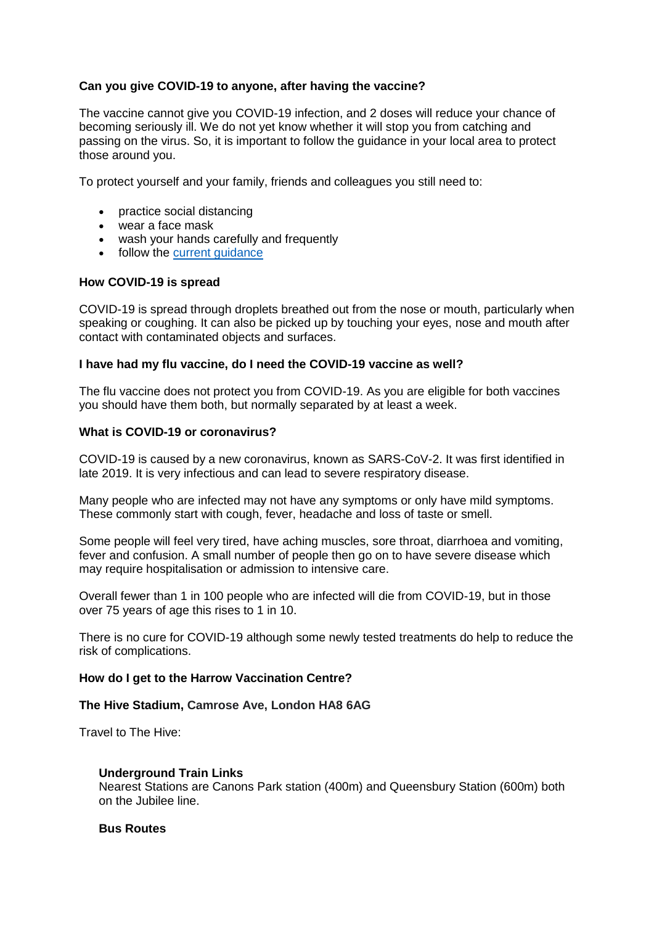## **Can you give COVID-19 to anyone, after having the vaccine?**

The vaccine cannot give you COVID-19 infection, and 2 doses will reduce your chance of becoming seriously ill. We do not yet know whether it will stop you from catching and passing on the virus. So, it is important to follow the guidance in your local area to protect those around you.

To protect yourself and your family, friends and colleagues you still need to:

- practice social distancing
- wear a face mask
- wash your hands carefully and frequently
- follow the [current guidance](https://www.gov.uk/coronavirus)

## **How COVID-19 is spread**

COVID-19 is spread through droplets breathed out from the nose or mouth, particularly when speaking or coughing. It can also be picked up by touching your eyes, nose and mouth after contact with contaminated objects and surfaces.

## **I have had my flu vaccine, do I need the COVID-19 vaccine as well?**

The flu vaccine does not protect you from COVID-19. As you are eligible for both vaccines you should have them both, but normally separated by at least a week.

## **What is COVID-19 or coronavirus?**

COVID-19 is caused by a new coronavirus, known as SARS-CoV-2. It was first identified in late 2019. It is very infectious and can lead to severe respiratory disease.

Many people who are infected may not have any symptoms or only have mild symptoms. These commonly start with cough, fever, headache and loss of taste or smell.

Some people will feel very tired, have aching muscles, sore throat, diarrhoea and vomiting, fever and confusion. A small number of people then go on to have severe disease which may require hospitalisation or admission to intensive care.

Overall fewer than 1 in 100 people who are infected will die from COVID-19, but in those over 75 years of age this rises to 1 in 10.

There is no cure for COVID-19 although some newly tested treatments do help to reduce the risk of complications.

## **How do I get to the Harrow Vaccination Centre?**

## **The Hive Stadium, Camrose Ave, London HA8 6AG**

Travel to The Hive:

#### **Underground Train Links**

Nearest Stations are Canons Park station (400m) and Queensbury Station (600m) both on the Jubilee line.

#### **Bus Routes**